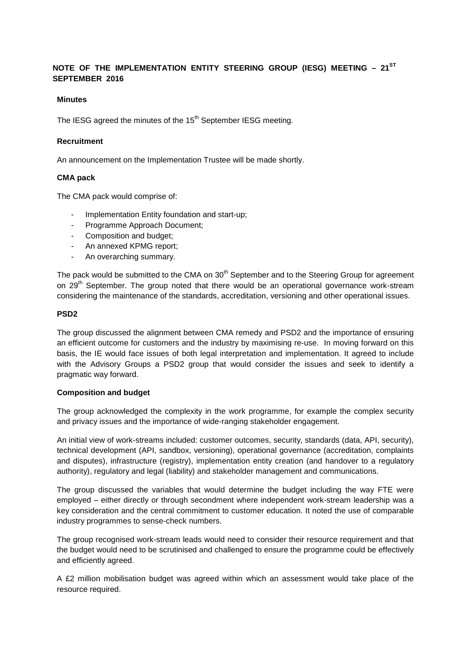# **NOTE OF THE IMPLEMENTATION ENTITY STEERING GROUP (IESG) MEETING – 21ST SEPTEMBER 2016**

## **Minutes**

The IESG agreed the minutes of the 15<sup>th</sup> September IESG meeting.

## **Recruitment**

An announcement on the Implementation Trustee will be made shortly.

## **CMA pack**

The CMA pack would comprise of:

- Implementation Entity foundation and start-up;
- Programme Approach Document;
- Composition and budget;
- An annexed KPMG report;
- An overarching summary.

The pack would be submitted to the CMA on 30<sup>th</sup> September and to the Steering Group for agreement on 29<sup>th</sup> September. The group noted that there would be an operational governance work-stream considering the maintenance of the standards, accreditation, versioning and other operational issues.

## **PSD2**

The group discussed the alignment between CMA remedy and PSD2 and the importance of ensuring an efficient outcome for customers and the industry by maximising re-use. In moving forward on this basis, the IE would face issues of both legal interpretation and implementation. It agreed to include with the Advisory Groups a PSD2 group that would consider the issues and seek to identify a pragmatic way forward.

#### **Composition and budget**

The group acknowledged the complexity in the work programme, for example the complex security and privacy issues and the importance of wide-ranging stakeholder engagement.

An initial view of work-streams included: customer outcomes, security, standards (data, API, security), technical development (API, sandbox, versioning), operational governance (accreditation, complaints and disputes), infrastructure (registry), implementation entity creation (and handover to a regulatory authority), regulatory and legal (liability) and stakeholder management and communications.

The group discussed the variables that would determine the budget including the way FTE were employed – either directly or through secondment where independent work-stream leadership was a key consideration and the central commitment to customer education. It noted the use of comparable industry programmes to sense-check numbers.

The group recognised work-stream leads would need to consider their resource requirement and that the budget would need to be scrutinised and challenged to ensure the programme could be effectively and efficiently agreed.

A £2 million mobilisation budget was agreed within which an assessment would take place of the resource required.